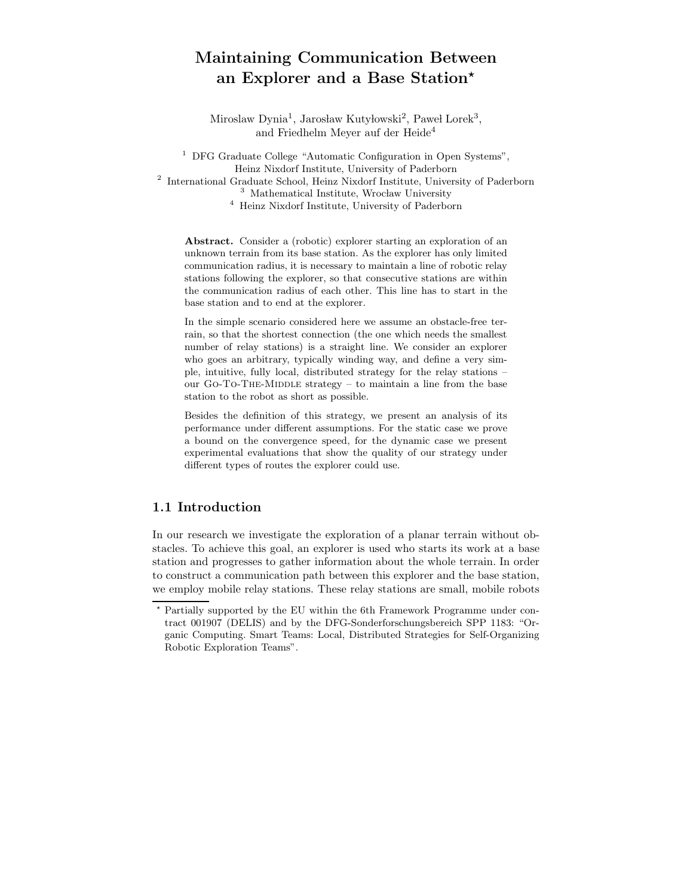# Maintaining Communication Between an Explorer and a Base Station\*

Miroslaw Dynia<sup>1</sup>, Jarosław Kutyłowski<sup>2</sup>, Paweł Lorek<sup>3</sup>, and Friedhelm Meyer auf der Heide<sup>4</sup>

<sup>1</sup> DFG Graduate College "Automatic Configuration in Open Systems", Heinz Nixdorf Institute, University of Paderborn 2 International Graduate School, Heinz Nixdorf Institute, University of Paderborn

 $3$  Mathematical Institute, Wrocław University

 $^4\,$  Heinz Nixdorf Institute, University of Paderborn

Abstract. Consider a (robotic) explorer starting an exploration of an unknown terrain from its base station. As the explorer has only limited communication radius, it is necessary to maintain a line of robotic relay stations following the explorer, so that consecutive stations are within the communication radius of each other. This line has to start in the base station and to end at the explorer.

In the simple scenario considered here we assume an obstacle-free terrain, so that the shortest connection (the one which needs the smallest number of relay stations) is a straight line. We consider an explorer who goes an arbitrary, typically winding way, and define a very simple, intuitive, fully local, distributed strategy for the relay stations – our  $Go-TO-THE-MIDDE$  strategy – to maintain a line from the base station to the robot as short as possible.

Besides the definition of this strategy, we present an analysis of its performance under different assumptions. For the static case we prove a bound on the convergence speed, for the dynamic case we present experimental evaluations that show the quality of our strategy under different types of routes the explorer could use.

# 1.1 Introduction

In our research we investigate the exploration of a planar terrain without obstacles. To achieve this goal, an explorer is used who starts its work at a base station and progresses to gather information about the whole terrain. In order to construct a communication path between this explorer and the base station, we employ mobile relay stations. These relay stations are small, mobile robots

Partially supported by the EU within the 6th Framework Programme under contract 001907 (DELIS) and by the DFG-Sonderforschungsbereich SPP 1183: "Organic Computing. Smart Teams: Local, Distributed Strategies for Self-Organizing Robotic Exploration Teams".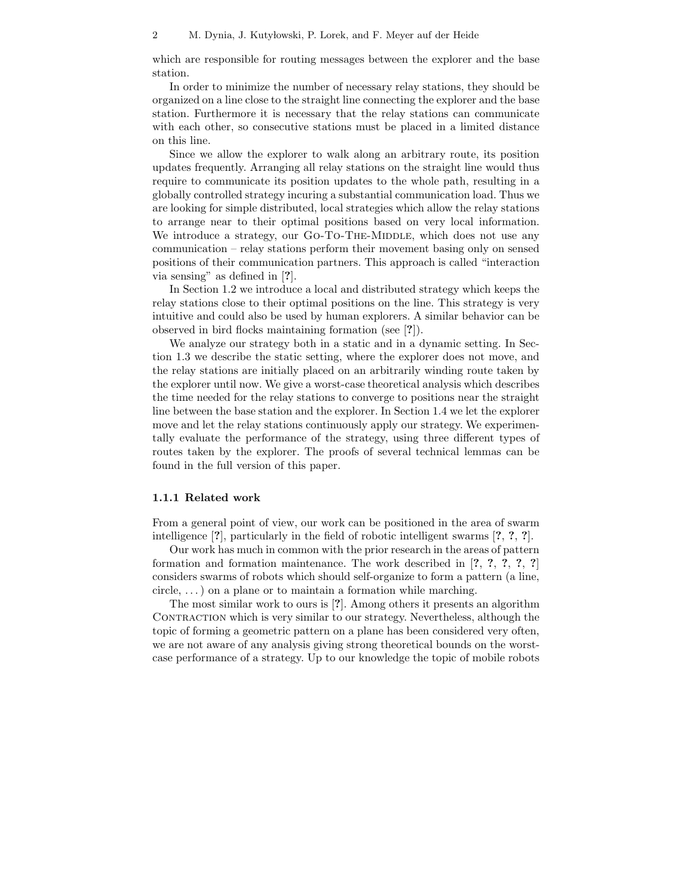which are responsible for routing messages between the explorer and the base station.

In order to minimize the number of necessary relay stations, they should be organized on a line close to the straight line connecting the explorer and the base station. Furthermore it is necessary that the relay stations can communicate with each other, so consecutive stations must be placed in a limited distance on this line.

Since we allow the explorer to walk along an arbitrary route, its position updates frequently. Arranging all relay stations on the straight line would thus require to communicate its position updates to the whole path, resulting in a globally controlled strategy incuring a substantial communication load. Thus we are looking for simple distributed, local strategies which allow the relay stations to arrange near to their optimal positions based on very local information. We introduce a strategy, our Go-To-The-MIDDLE, which does not use any communication – relay stations perform their movement basing only on sensed positions of their communication partners. This approach is called "interaction via sensing" as defined in [?].

In Section 1.2 we introduce a local and distributed strategy which keeps the relay stations close to their optimal positions on the line. This strategy is very intuitive and could also be used by human explorers. A similar behavior can be observed in bird flocks maintaining formation (see [?]).

We analyze our strategy both in a static and in a dynamic setting. In Section 1.3 we describe the static setting, where the explorer does not move, and the relay stations are initially placed on an arbitrarily winding route taken by the explorer until now. We give a worst-case theoretical analysis which describes the time needed for the relay stations to converge to positions near the straight line between the base station and the explorer. In Section 1.4 we let the explorer move and let the relay stations continuously apply our strategy. We experimentally evaluate the performance of the strategy, using three different types of routes taken by the explorer. The proofs of several technical lemmas can be found in the full version of this paper.

#### 1.1.1 Related work

From a general point of view, our work can be positioned in the area of swarm intelligence [?], particularly in the field of robotic intelligent swarms [?, ?, ?].

Our work has much in common with the prior research in the areas of pattern formation and formation maintenance. The work described in [?, ?, ?, ?, ?] considers swarms of robots which should self-organize to form a pattern (a line, circle,  $\dots$ ) on a plane or to maintain a formation while marching.

The most similar work to ours is [?]. Among others it presents an algorithm CONTRACTION which is very similar to our strategy. Nevertheless, although the topic of forming a geometric pattern on a plane has been considered very often, we are not aware of any analysis giving strong theoretical bounds on the worstcase performance of a strategy. Up to our knowledge the topic of mobile robots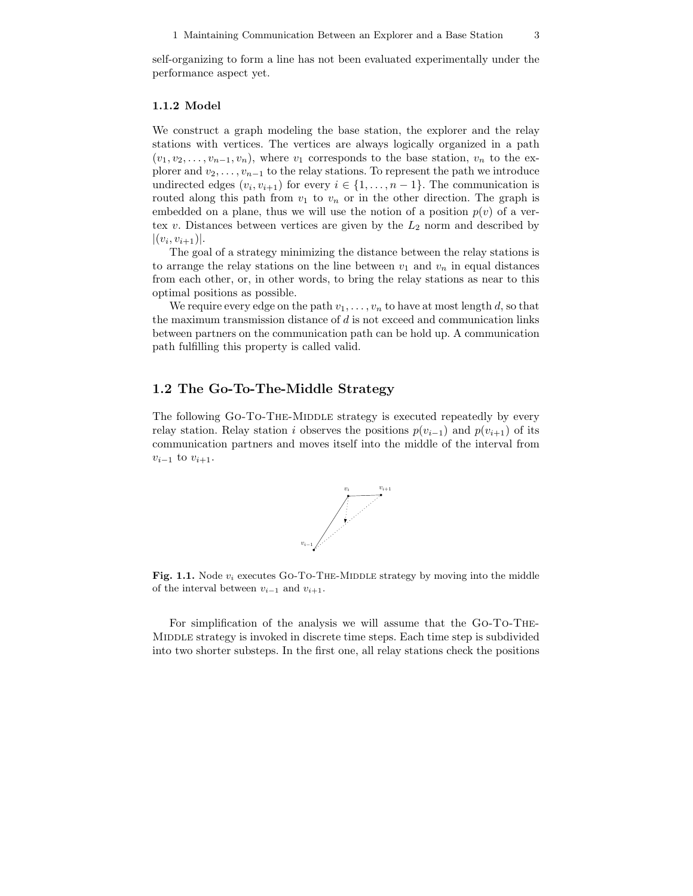#### 1.1.2 Model

We construct a graph modeling the base station, the explorer and the relay stations with vertices. The vertices are always logically organized in a path  $(v_1, v_2, \ldots, v_{n-1}, v_n)$ , where  $v_1$  corresponds to the base station,  $v_n$  to the explorer and  $v_2, \ldots, v_{n-1}$  to the relay stations. To represent the path we introduce undirected edges  $(v_i, v_{i+1})$  for every  $i \in \{1, ..., n-1\}$ . The communication is routed along this path from  $v_1$  to  $v_n$  or in the other direction. The graph is embedded on a plane, thus we will use the notion of a position  $p(v)$  of a vertex v. Distances between vertices are given by the  $L_2$  norm and described by  $|(v_i, v_{i+1})|.$ 

The goal of a strategy minimizing the distance between the relay stations is to arrange the relay stations on the line between  $v_1$  and  $v_n$  in equal distances from each other, or, in other words, to bring the relay stations as near to this optimal positions as possible.

We require every edge on the path  $v_1, \ldots, v_n$  to have at most length d, so that the maximum transmission distance of  $d$  is not exceed and communication links between partners on the communication path can be hold up. A communication path fulfilling this property is called valid.

# 1.2 The Go-To-The-Middle Strategy

The following GO-TO-THE-MIDDLE strategy is executed repeatedly by every relay station. Relay station *i* observes the positions  $p(v_{i-1})$  and  $p(v_{i+1})$  of its communication partners and moves itself into the middle of the interval from  $v_{i-1}$  to  $v_{i+1}$ .



Fig. 1.1. Node  $v_i$  executes Go-To-The-MIDDLE strategy by moving into the middle of the interval between  $v_{i-1}$  and  $v_{i+1}$ .

For simplification of the analysis we will assume that the Go-To-The-MIDDLE strategy is invoked in discrete time steps. Each time step is subdivided into two shorter substeps. In the first one, all relay stations check the positions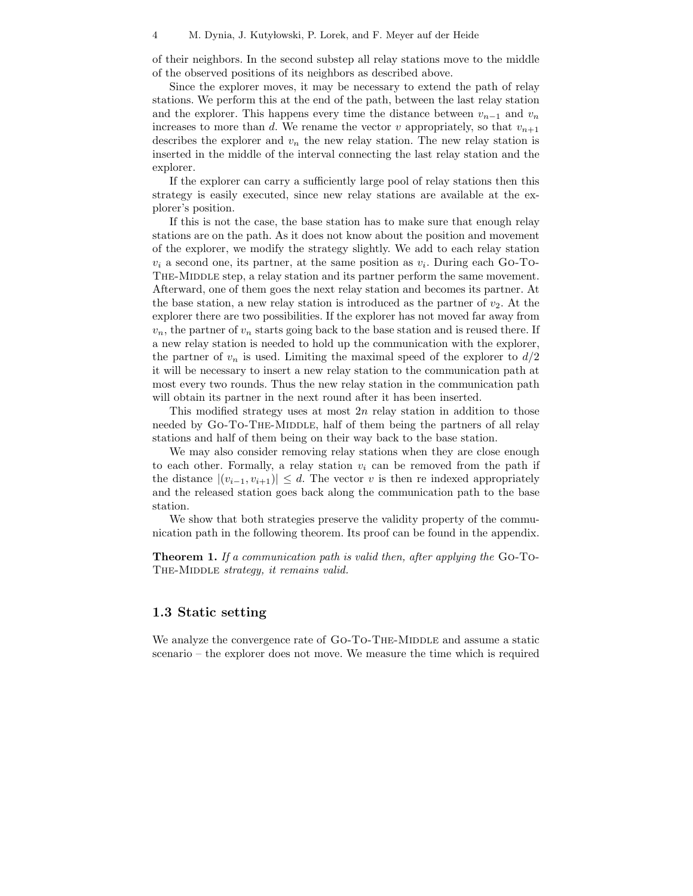of their neighbors. In the second substep all relay stations move to the middle of the observed positions of its neighbors as described above.

Since the explorer moves, it may be necessary to extend the path of relay stations. We perform this at the end of the path, between the last relay station and the explorer. This happens every time the distance between  $v_{n-1}$  and  $v_n$ increases to more than d. We rename the vector v appropriately, so that  $v_{n+1}$ describes the explorer and  $v_n$  the new relay station. The new relay station is inserted in the middle of the interval connecting the last relay station and the explorer.

If the explorer can carry a sufficiently large pool of relay stations then this strategy is easily executed, since new relay stations are available at the explorer's position.

If this is not the case, the base station has to make sure that enough relay stations are on the path. As it does not know about the position and movement of the explorer, we modify the strategy slightly. We add to each relay station  $v_i$  a second one, its partner, at the same position as  $v_i$ . During each Go-To-THE-MIDDLE step, a relay station and its partner perform the same movement. Afterward, one of them goes the next relay station and becomes its partner. At the base station, a new relay station is introduced as the partner of  $v_2$ . At the explorer there are two possibilities. If the explorer has not moved far away from  $v_n$ , the partner of  $v_n$  starts going back to the base station and is reused there. If a new relay station is needed to hold up the communication with the explorer, the partner of  $v_n$  is used. Limiting the maximal speed of the explorer to  $d/2$ it will be necessary to insert a new relay station to the communication path at most every two rounds. Thus the new relay station in the communication path will obtain its partner in the next round after it has been inserted.

This modified strategy uses at most  $2n$  relay station in addition to those needed by GO-TO-THE-MIDDLE, half of them being the partners of all relay stations and half of them being on their way back to the base station.

We may also consider removing relay stations when they are close enough to each other. Formally, a relay station  $v_i$  can be removed from the path if the distance  $|(v_{i-1}, v_{i+1})| \leq d$ . The vector v is then re indexed appropriately and the released station goes back along the communication path to the base station.

We show that both strategies preserve the validity property of the communication path in the following theorem. Its proof can be found in the appendix.

Theorem 1. If a communication path is valid then, after applying the Go-To-THE-MIDDLE strategy, it remains valid.

## 1.3 Static setting

We analyze the convergence rate of Go-To-THE-MIDDLE and assume a static scenario – the explorer does not move. We measure the time which is required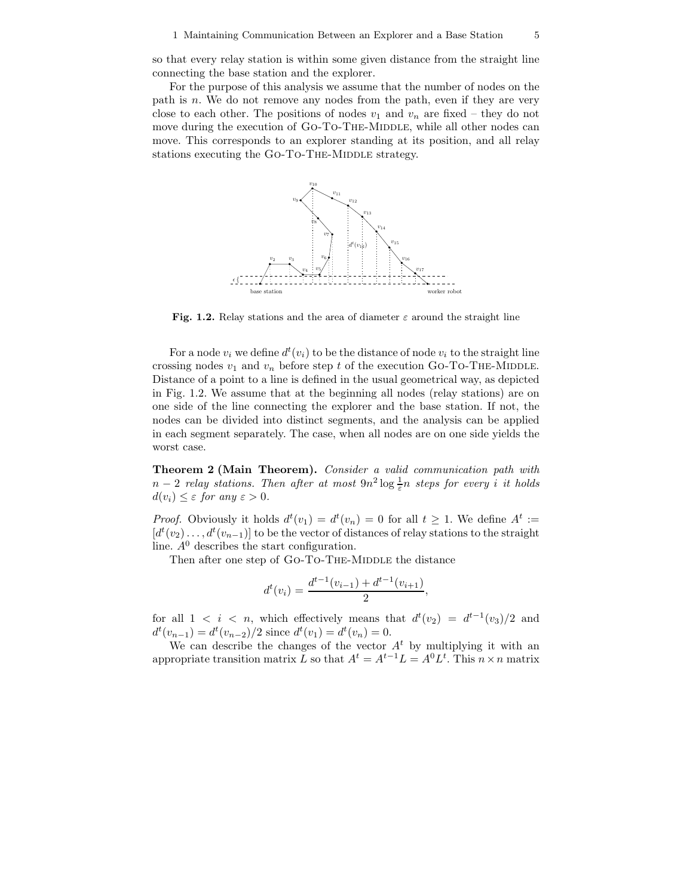so that every relay station is within some given distance from the straight line connecting the base station and the explorer.

For the purpose of this analysis we assume that the number of nodes on the path is  $n$ . We do not remove any nodes from the path, even if they are very close to each other. The positions of nodes  $v_1$  and  $v_n$  are fixed – they do not move during the execution of GO-TO-THE-MIDDLE, while all other nodes can move. This corresponds to an explorer standing at its position, and all relay stations executing the GO-TO-THE-MIDDLE strategy.



Fig. 1.2. Relay stations and the area of diameter  $\varepsilon$  around the straight line

For a node  $v_i$  we define  $d^t(v_i)$  to be the distance of node  $v_i$  to the straight line crossing nodes  $v_1$  and  $v_n$  before step t of the execution Go-To-The-MIDDLE. Distance of a point to a line is defined in the usual geometrical way, as depicted in Fig. 1.2. We assume that at the beginning all nodes (relay stations) are on one side of the line connecting the explorer and the base station. If not, the nodes can be divided into distinct segments, and the analysis can be applied in each segment separately. The case, when all nodes are on one side yields the worst case.

Theorem 2 (Main Theorem). Consider a valid communication path with  $n-2$  relay stations. Then after at most  $9n^2\log\frac{1}{\varepsilon}n$  steps for every i it holds  $d(v_i) \leq \varepsilon$  for any  $\varepsilon > 0$ .

*Proof.* Obviously it holds  $d^t(v_1) = d^t(v_n) = 0$  for all  $t \geq 1$ . We define  $A^t :=$  $[d^t(v_1)\ldots,d^t(v_{n-1})]$  to be the vector of distances of relay stations to the straight line.  $A^0$  describes the start configuration.

Then after one step of GO-TO-THE-MIDDLE the distance

$$
d^{t}(v_{i}) = \frac{d^{t-1}(v_{i-1}) + d^{t-1}(v_{i+1})}{2},
$$

for all  $1 \lt i \lt n$ , which effectively means that  $d^t(v_2) = d^{t-1}(v_3)/2$  and  $d^t(v_{n-1}) = d^t(v_{n-2})/2$  since  $d^t(v_1) = d^t(v_n) = 0$ .

We can describe the changes of the vector  $A<sup>t</sup>$  by multiplying it with an appropriate transition matrix  $\tilde{L}$  so that  $A^t = A^{t-1}L = A^0L^t$ . This  $n \times n$  matrix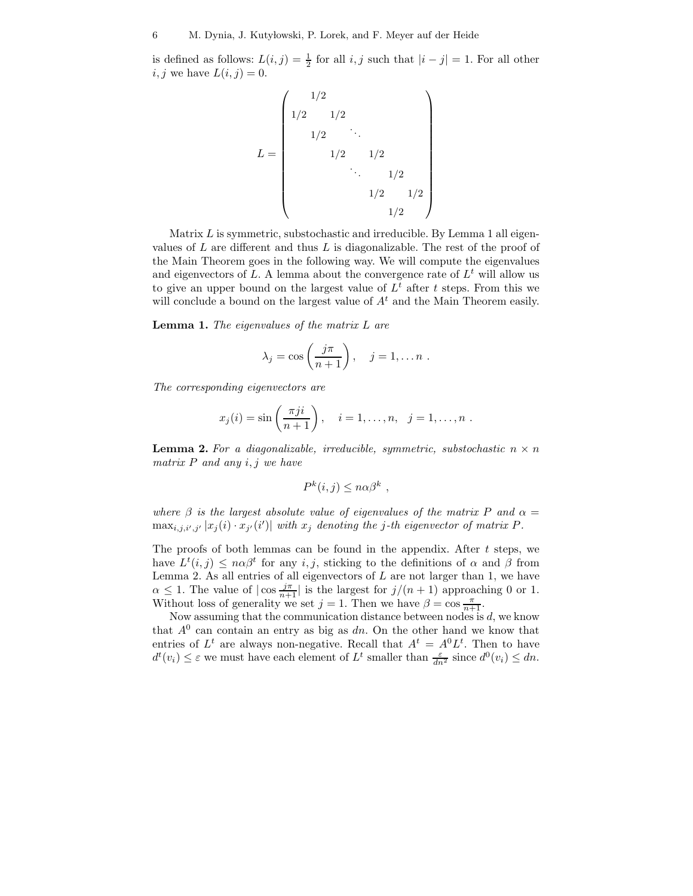is defined as follows:  $L(i, j) = \frac{1}{2}$  for all i, j such that  $|i - j| = 1$ . For all other  $i, j$  we have  $L(i, j) = 0$ .

$$
L = \begin{pmatrix} 1/2 & & & & & \\ 1/2 & 1/2 & & & & \\ & 1/2 & \ddots & & & \\ & & 1/2 & 1/2 & & \\ & & & \ddots & 1/2 & \\ & & & & 1/2 & 1/2 \\ & & & & & 1/2 \end{pmatrix}
$$

Matrix  $L$  is symmetric, substochastic and irreducible. By Lemma 1 all eigenvalues of  $L$  are different and thus  $L$  is diagonalizable. The rest of the proof of the Main Theorem goes in the following way. We will compute the eigenvalues and eigenvectors of L. A lemma about the convergence rate of  $L<sup>t</sup>$  will allow us to give an upper bound on the largest value of  $L<sup>t</sup>$  after t steps. From this we will conclude a bound on the largest value of  $A<sup>t</sup>$  and the Main Theorem easily.

**Lemma 1.** The eigenvalues of the matrix L are

$$
\lambda_j = \cos\left(\frac{j\pi}{n+1}\right), \quad j = 1, \ldots n.
$$

The corresponding eigenvectors are

$$
x_j(i) = \sin\left(\frac{\pi j i}{n+1}\right), \quad i = 1, ..., n, \ \ j = 1, ..., n.
$$

**Lemma 2.** For a diagonalizable, irreducible, symmetric, substochastic  $n \times n$ matrix  $P$  and any  $i, j$  we have

$$
P^k(i,j) \leq n\alpha\beta^k ,
$$

where  $\beta$  is the largest absolute value of eigenvalues of the matrix P and  $\alpha =$  $\max_{i,j,i',j'} |x_j(i) \cdot x_{j'}(i')|$  with  $x_j$  denoting the j-th eigenvector of matrix P.

The proofs of both lemmas can be found in the appendix. After  $t$  steps, we have  $L^t(i,j) \leq n\alpha\beta^t$  for any i, j, sticking to the definitions of  $\alpha$  and  $\beta$  from Lemma 2. As all entries of all eigenvectors of  $L$  are not larger than 1, we have  $\alpha \leq 1$ . The value of  $|\cos \frac{j\pi}{n+1}|$  is the largest for  $j/(n+1)$  approaching 0 or 1. Without loss of generality we set  $j = 1$ . Then we have  $\beta = \cos \frac{\pi}{n+1}$ .

Now assuming that the communication distance between nodes is  $d$ , we know that  $A^0$  can contain an entry as big as dn. On the other hand we know that entries of  $L^t$  are always non-negative. Recall that  $A^t = A^0 L^t$ . Then to have  $d^t(v_i) \leq \varepsilon$  we must have each element of  $L^t$  smaller than  $\frac{\varepsilon}{dn^2}$  since  $d^0(v_i) \leq dn$ .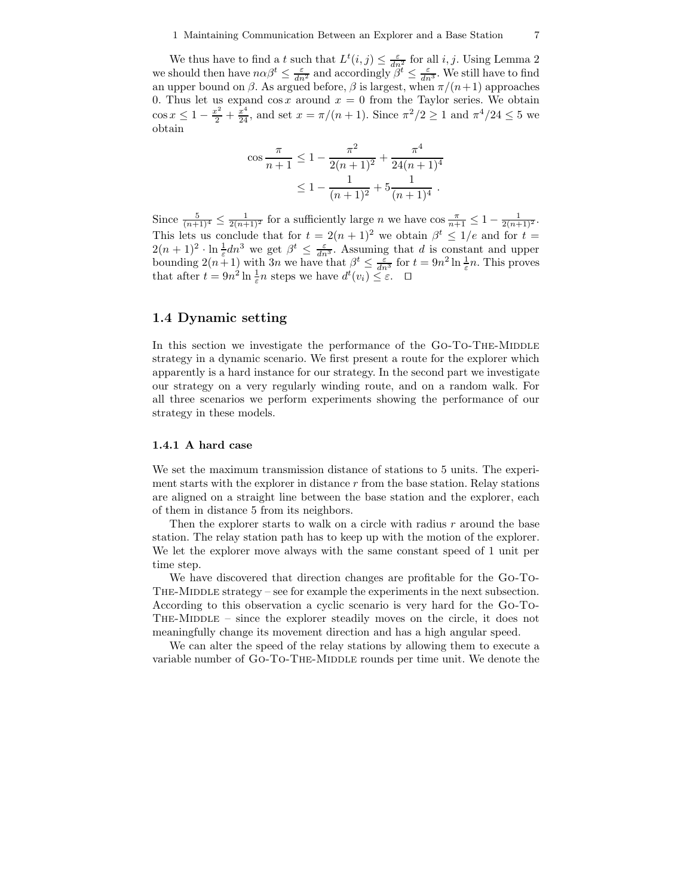We thus have to find a t such that  $L^t(i,j) \leq \frac{\varepsilon}{dn^2}$  for all  $i, j$ . Using Lemma 2 we should then have  $n\alpha\beta^t \leq \frac{\varepsilon}{dn^2}$  and accordingly  $\beta^t \leq \frac{\varepsilon}{dn^3}$ . We still have to find an upper bound on  $\beta$ . As argued before,  $\beta$  is largest, when  $\pi/(n+1)$  approaches 0. Thus let us expand  $\cos x$  around  $x = 0$  from the Taylor series. We obtain cos  $x \leq 1 - \frac{x^2}{2} + \frac{x^4}{24}$ , and set  $x = \pi/(n+1)$ . Since  $\pi^2/2 \geq 1$  and  $\pi^4/24 \leq 5$  we obtain

$$
\cos \frac{\pi}{n+1} \le 1 - \frac{\pi^2}{2(n+1)^2} + \frac{\pi^4}{24(n+1)^4}
$$
  

$$
\le 1 - \frac{1}{(n+1)^2} + 5\frac{1}{(n+1)^4}.
$$

Since  $\frac{5}{(n+1)^4} \leq \frac{1}{2(n+1)^2}$  for a sufficiently large *n* we have  $\cos \frac{\pi}{n+1} \leq 1 - \frac{1}{2(n+1)^2}$ . This lets us conclude that for  $t = 2(n+1)^2$  we obtain  $\beta^t \leq 1/e$  and for  $t =$  $2(n+1)^2 \cdot \ln \frac{1}{\varepsilon} dn^3$  we get  $\beta^t \leq \frac{\varepsilon}{dn^3}$ . Assuming that d is constant and upper bounding  $2(n+1)$  with 3n we have that  $\beta^t \leq \frac{\varepsilon}{dn^3}$  for  $t = 9n^2 \ln \frac{1}{\varepsilon}n$ . This proves that after  $t = 9n^2 \ln \frac{1}{\varepsilon} n$  steps we have  $d^t(v_i) \leq \varepsilon$ .  $\Box$ 

## 1.4 Dynamic setting

In this section we investigate the performance of the Go-To-The-MIDDLE strategy in a dynamic scenario. We first present a route for the explorer which apparently is a hard instance for our strategy. In the second part we investigate our strategy on a very regularly winding route, and on a random walk. For all three scenarios we perform experiments showing the performance of our strategy in these models.

#### 1.4.1 A hard case

We set the maximum transmission distance of stations to 5 units. The experiment starts with the explorer in distance r from the base station. Relay stations are aligned on a straight line between the base station and the explorer, each of them in distance 5 from its neighbors.

Then the explorer starts to walk on a circle with radius  $r$  around the base station. The relay station path has to keep up with the motion of the explorer. We let the explorer move always with the same constant speed of 1 unit per time step.

We have discovered that direction changes are profitable for the Go-To-THE-MIDDLE strategy – see for example the experiments in the next subsection. According to this observation a cyclic scenario is very hard for the Go-To-THE-MIDDLE – since the explorer steadily moves on the circle, it does not meaningfully change its movement direction and has a high angular speed.

We can alter the speed of the relay stations by allowing them to execute a variable number of GO-TO-THE-MIDDLE rounds per time unit. We denote the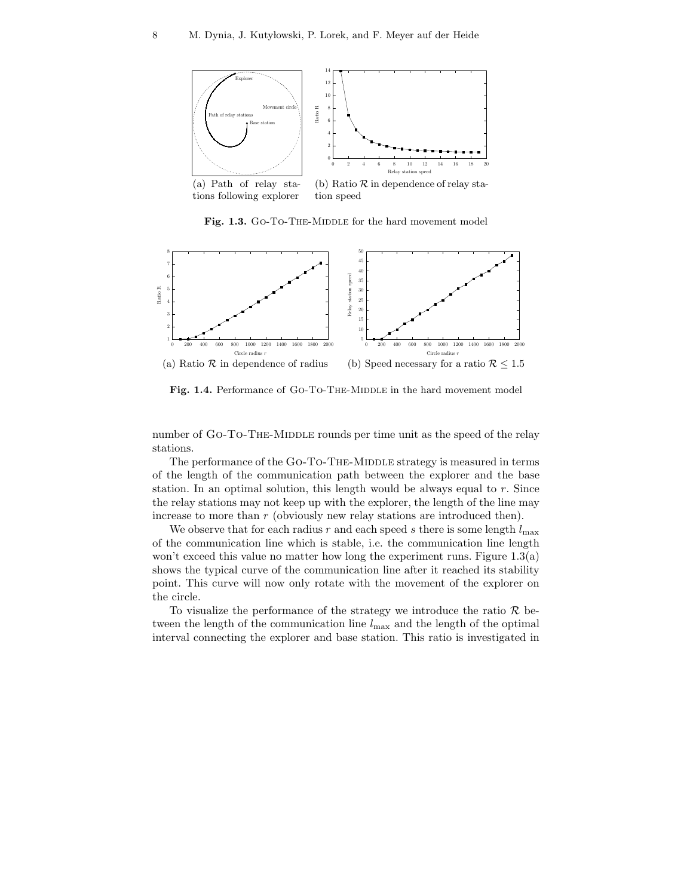

Fig. 1.3. GO-TO-THE-MIDDLE for the hard movement model



Fig. 1.4. Performance of GO-TO-THE-MIDDLE in the hard movement model

number of GO-TO-THE-MIDDLE rounds per time unit as the speed of the relay stations.

The performance of the Go-To-THE-MIDDLE strategy is measured in terms of the length of the communication path between the explorer and the base station. In an optimal solution, this length would be always equal to  $r$ . Since the relay stations may not keep up with the explorer, the length of the line may increase to more than r (obviously new relay stations are introduced then).

We observe that for each radius r and each speed s there is some length  $l_{\text{max}}$ of the communication line which is stable, i.e. the communication line length won't exceed this value no matter how long the experiment runs. Figure 1.3(a) shows the typical curve of the communication line after it reached its stability point. This curve will now only rotate with the movement of the explorer on the circle.

To visualize the performance of the strategy we introduce the ratio  $\mathcal R$  between the length of the communication line  $l_{\text{max}}$  and the length of the optimal interval connecting the explorer and base station. This ratio is investigated in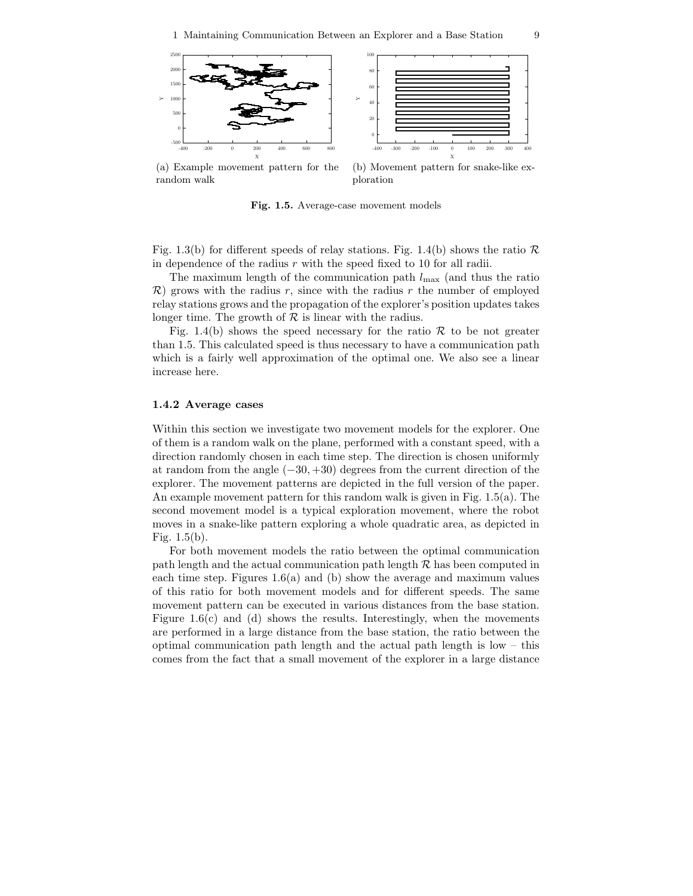

(a) Example movement pattern for the random walk

(b) Movement pattern for snake-like exploration

Fig. 1.5. Average-case movement models

Fig. 1.3(b) for different speeds of relay stations. Fig. 1.4(b) shows the ratio  $\mathcal{R}$ in dependence of the radius  $r$  with the speed fixed to 10 for all radii.

The maximum length of the communication path  $l_{\text{max}}$  (and thus the ratio  $\mathcal{R}$ ) grows with the radius r, since with the radius r the number of employed relay stations grows and the propagation of the explorer's position updates takes longer time. The growth of  $R$  is linear with the radius.

Fig. 1.4(b) shows the speed necessary for the ratio  $\mathcal R$  to be not greater than 1.5. This calculated speed is thus necessary to have a communication path which is a fairly well approximation of the optimal one. We also see a linear increase here.

#### 1.4.2 Average cases

Within this section we investigate two movement models for the explorer. One of them is a random walk on the plane, performed with a constant speed, with a direction randomly chosen in each time step. The direction is chosen uniformly at random from the angle  $(-30, +30)$  degrees from the current direction of the explorer. The movement patterns are depicted in the full version of the paper. An example movement pattern for this random walk is given in Fig. 1.5(a). The second movement model is a typical exploration movement, where the robot moves in a snake-like pattern exploring a whole quadratic area, as depicted in Fig. 1.5(b).

For both movement models the ratio between the optimal communication path length and the actual communication path length  $R$  has been computed in each time step. Figures  $1.6(a)$  and (b) show the average and maximum values of this ratio for both movement models and for different speeds. The same movement pattern can be executed in various distances from the base station. Figure 1.6(c) and (d) shows the results. Interestingly, when the movements are performed in a large distance from the base station, the ratio between the optimal communication path length and the actual path length is low – this comes from the fact that a small movement of the explorer in a large distance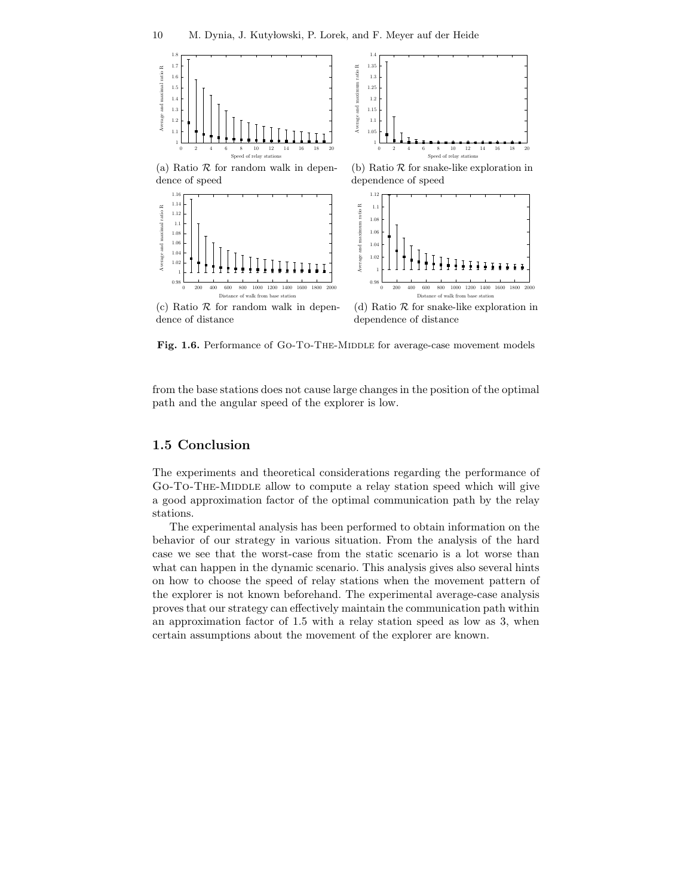

(c) Ratio  $\mathcal R$  for random walk in dependence of distance

(d) Ratio  $R$  for snake-like exploration in dependence of distance

Fig. 1.6. Performance of Go-To-The-MIDDLE for average-case movement models

from the base stations does not cause large changes in the position of the optimal path and the angular speed of the explorer is low.

## 1.5 Conclusion

The experiments and theoretical considerations regarding the performance of GO-TO-THE-MIDDLE allow to compute a relay station speed which will give a good approximation factor of the optimal communication path by the relay stations.

The experimental analysis has been performed to obtain information on the behavior of our strategy in various situation. From the analysis of the hard case we see that the worst-case from the static scenario is a lot worse than what can happen in the dynamic scenario. This analysis gives also several hints on how to choose the speed of relay stations when the movement pattern of the explorer is not known beforehand. The experimental average-case analysis proves that our strategy can effectively maintain the communication path within an approximation factor of 1.5 with a relay station speed as low as 3, when certain assumptions about the movement of the explorer are known.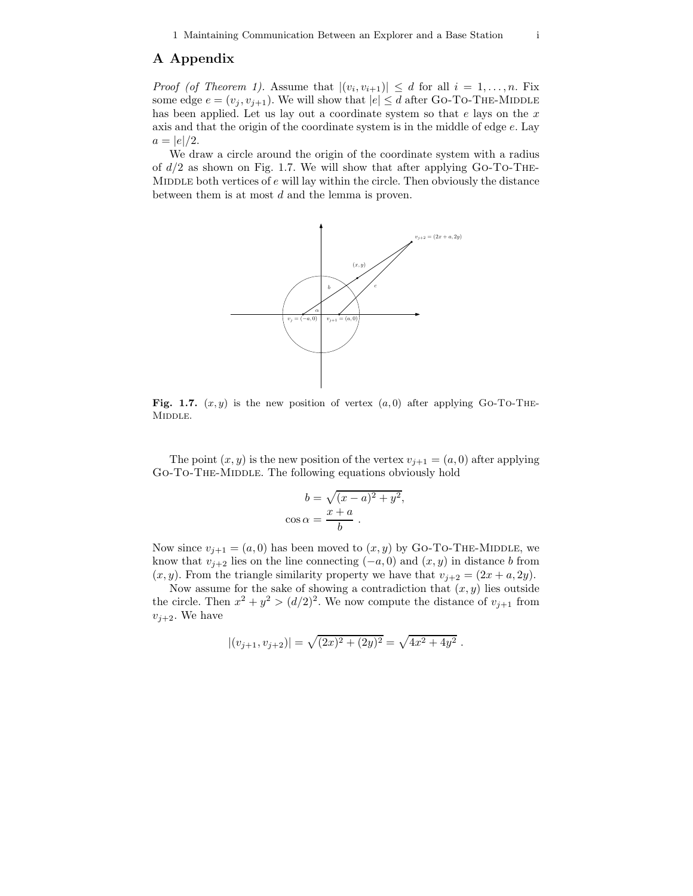## A Appendix

*Proof (of Theorem 1).* Assume that  $|(v_i, v_{i+1})| \leq d$  for all  $i = 1, ..., n$ . Fix some edge  $e = (v_i, v_{i+1})$ . We will show that  $|e| \le d$  after GO-TO-THE-MIDDLE has been applied. Let us lay out a coordinate system so that  $e$  lays on the  $x$ axis and that the origin of the coordinate system is in the middle of edge e. Lay  $a = |e|/2.$ 

We draw a circle around the origin of the coordinate system with a radius of  $d/2$  as shown on Fig. 1.7. We will show that after applying GO-TO-THE-MIDDLE both vertices of  $e$  will lay within the circle. Then obviously the distance between them is at most d and the lemma is proven.



Fig. 1.7.  $(x, y)$  is the new position of vertex  $(a, 0)$  after applying Go-To-THE-MIDDLE.

The point  $(x, y)$  is the new position of the vertex  $v_{j+1} = (a, 0)$  after applying GO-TO-THE-MIDDLE. The following equations obviously hold

$$
b = \sqrt{(x-a)^2 + y^2},
$$

$$
\cos \alpha = \frac{x+a}{b}.
$$

Now since  $v_{j+1} = (a, 0)$  has been moved to  $(x, y)$  by Go-To-The-MIDDLE, we know that  $v_{j+2}$  lies on the line connecting  $(-a, 0)$  and  $(x, y)$  in distance b from  $(x, y)$ . From the triangle similarity property we have that  $v_{j+2} = (2x + a, 2y)$ .

Now assume for the sake of showing a contradiction that  $(x, y)$  lies outside the circle. Then  $x^2 + y^2 > (d/2)^2$ . We now compute the distance of  $v_{j+1}$  from  $v_{j+2}$ . We have

$$
|(v_{j+1}, v_{j+2})| = \sqrt{(2x)^2 + (2y)^2} = \sqrt{4x^2 + 4y^2}
$$
.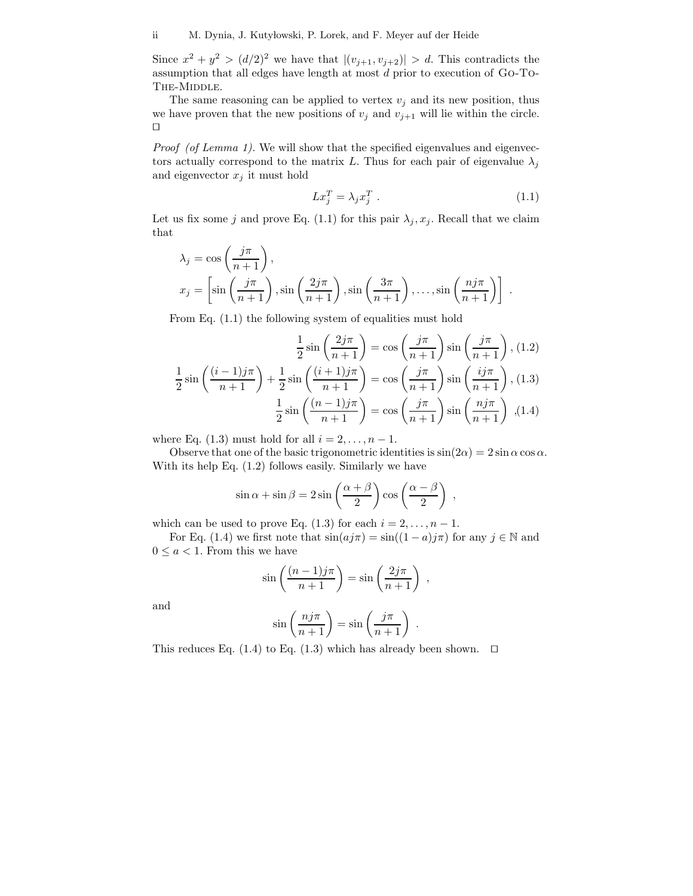Since  $x^2 + y^2 > (d/2)^2$  we have that  $|(v_{j+1}, v_{j+2})| > d$ . This contradicts the assumption that all edges have length at most d prior to execution of Go-To-THE-MIDDLE.

The same reasoning can be applied to vertex  $v_i$  and its new position, thus we have proven that the new positions of  $v_j$  and  $v_{j+1}$  will lie within the circle. ⊓⊔

Proof (of Lemma 1). We will show that the specified eigenvalues and eigenvectors actually correspond to the matrix L. Thus for each pair of eigenvalue  $\lambda_j$ and eigenvector  $x_j$  it must hold

$$
Lx_j^T = \lambda_j x_j^T \t\t(1.1)
$$

Let us fix some j and prove Eq. (1.1) for this pair  $\lambda_j$ ,  $x_j$ . Recall that we claim that

$$
\lambda_j = \cos\left(\frac{j\pi}{n+1}\right),
$$
  
\n
$$
x_j = \left[\sin\left(\frac{j\pi}{n+1}\right), \sin\left(\frac{2j\pi}{n+1}\right), \sin\left(\frac{3\pi}{n+1}\right), \dots, \sin\left(\frac{n j\pi}{n+1}\right)\right].
$$

From Eq. (1.1) the following system of equalities must hold

$$
\frac{1}{2}\sin\left(\frac{2j\pi}{n+1}\right) = \cos\left(\frac{j\pi}{n+1}\right)\sin\left(\frac{j\pi}{n+1}\right), (1.2)
$$

$$
\frac{1}{2}\sin\left(\frac{(i-1)j\pi}{n+1}\right) + \frac{1}{2}\sin\left(\frac{(i+1)j\pi}{n+1}\right) = \cos\left(\frac{j\pi}{n+1}\right)\sin\left(\frac{ij\pi}{n+1}\right), (1.3)
$$

$$
\frac{1}{2}\sin\left(\frac{(n-1)j\pi}{n+1}\right) = \cos\left(\frac{j\pi}{n+1}\right)\sin\left(\frac{n j\pi}{n+1}\right), (1.4)
$$

where Eq. (1.3) must hold for all  $i = 2, \ldots, n - 1$ .

Observe that one of the basic trigonometric identities is  $\sin(2\alpha) = 2 \sin \alpha \cos \alpha$ . With its help Eq. (1.2) follows easily. Similarly we have

$$
\sin \alpha + \sin \beta = 2 \sin \left( \frac{\alpha + \beta}{2} \right) \cos \left( \frac{\alpha - \beta}{2} \right) ,
$$

which can be used to prove Eq. (1.3) for each  $i = 2, \ldots, n - 1$ .

For Eq. (1.4) we first note that  $sin(aj\pi) = sin((1-a)j\pi)$  for any  $j \in \mathbb{N}$  and  $0 \leq a < 1$ . From this we have

$$
\sin\left(\frac{(n-1)j\pi}{n+1}\right) = \sin\left(\frac{2j\pi}{n+1}\right) ,
$$

and

$$
\sin\left(\frac{n j \pi}{n+1}\right) = \sin\left(\frac{j \pi}{n+1}\right) .
$$

This reduces Eq. (1.4) to Eq. (1.3) which has already been shown.  $\Box$